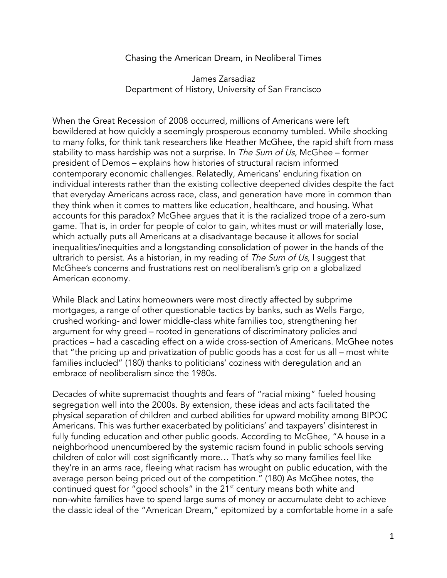## Chasing the American Dream, in Neoliberal Times

James Zarsadiaz Department of History, University of San Francisco

When the Great Recession of 2008 occurred, millions of Americans were left bewildered at how quickly a seemingly prosperous economy tumbled. While shocking to many folks, for think tank researchers like Heather McGhee, the rapid shift from mass stability to mass hardship was not a surprise. In The Sum of Us, McGhee – former president of Demos – explains how histories of structural racism informed contemporary economic challenges. Relatedly, Americans' enduring fixation on individual interests rather than the existing collective deepened divides despite the fact that everyday Americans across race, class, and generation have more in common than they think when it comes to matters like education, healthcare, and housing. What accounts for this paradox? McGhee argues that it is the racialized trope of a zero-sum game. That is, in order for people of color to gain, whites must or will materially lose, which actually puts all Americans at a disadvantage because it allows for social inequalities/inequities and a longstanding consolidation of power in the hands of the ultrarich to persist. As a historian, in my reading of The Sum of Us, I suggest that McGhee's concerns and frustrations rest on neoliberalism's grip on a globalized American economy.

While Black and Latinx homeowners were most directly affected by subprime mortgages, a range of other questionable tactics by banks, such as Wells Fargo, crushed working- and lower middle-class white families too, strengthening her argument for why greed – rooted in generations of discriminatory policies and practices – had a cascading effect on a wide cross-section of Americans. McGhee notes that "the pricing up and privatization of public goods has a cost for us all – most white families included" (180) thanks to politicians' coziness with deregulation and an embrace of neoliberalism since the 1980s.

Decades of white supremacist thoughts and fears of "racial mixing" fueled housing segregation well into the 2000s. By extension, these ideas and acts facilitated the physical separation of children and curbed abilities for upward mobility among BIPOC Americans. This was further exacerbated by politicians' and taxpayers' disinterest in fully funding education and other public goods. According to McGhee, "A house in a neighborhood unencumbered by the systemic racism found in public schools serving children of color will cost significantly more… That's why so many families feel like they're in an arms race, fleeing what racism has wrought on public education, with the average person being priced out of the competition." (180) As McGhee notes, the continued quest for "good schools" in the 21<sup>st</sup> century means both white and non-white families have to spend large sums of money or accumulate debt to achieve the classic ideal of the "American Dream," epitomized by a comfortable home in a safe